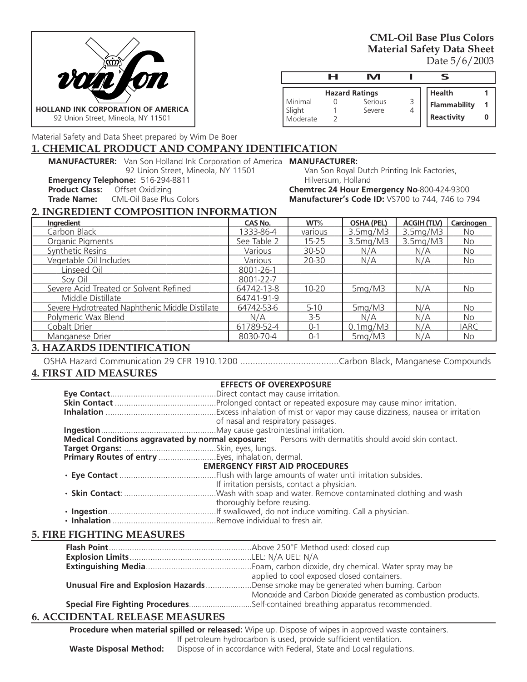

**CML-Oil Base Plus Colors Material Safety Data Sheet**  Date 5/6/2003

|                               | н | M                                          |   | ⊂                                    |  |
|-------------------------------|---|--------------------------------------------|---|--------------------------------------|--|
| Minimal<br>Slight<br>Moderate |   | <b>Hazard Ratings</b><br>Serious<br>Severe | 4 | Health<br>Flammability<br>Reactivity |  |

Material Safety and Data Sheet prepared by Wim De Boer

### **1. CHEMICAL PRODUCT AND COMPANY IDENTIFICATION**

**MANUFACTURER:** Van Son Holland Ink Corporation of America **MANUFACTURER:** 92 Union Street, Mineola, NY 11501

**Emergency Telephone:** 516-294-8811

**Product Class:** Offset Oxidizing<br> **Trade Name:** CML-Oil Base Plus **Trade Name:** CML-Oil Base Plus Colors

Van Son Royal Dutch Printing Ink Factories, Hilversum, Holland **Chemtrec 24 Hour Emergency No**-800-424-9300

**Manufacturer's Code ID:** VS700 to 744, 746 to 794

### **2. INGREDIENT COMPOSITION INFORMATION**

| Ingredient                                       | <b>CAS No.</b> | WT%       | <b>OSHA (PEL)</b> | <b>ACGIH (TLV)</b> | Carcinogen  |
|--------------------------------------------------|----------------|-----------|-------------------|--------------------|-------------|
| Carbon Black                                     | 1333-86-4      | various   | 3.5mg/M3          | 3.5mg/M3           | <b>No</b>   |
| Organic Pigments                                 | See Table 2    | $15 - 25$ | 3.5mg/M3          | 3.5mg/M3           | <b>No</b>   |
| Synthetic Resins                                 | Various        | 30-50     | N/A               | N/A                | <b>No</b>   |
| Vegetable Oil Includes                           | Various        | 20-30     | N/A               | N/A                | <b>No</b>   |
| Linseed Oil                                      | 8001-26-1      |           |                   |                    |             |
| Soy Oil                                          | 8001-22-7      |           |                   |                    |             |
| Severe Acid Treated or Solvent Refined           | 64742-13-8     | $10 - 20$ | 5mg/M3            | N/A                | <b>No</b>   |
| Middle Distillate                                | 64741-91-9     |           |                   |                    |             |
| Severe Hydrotreated Naphthenic Middle Distillate | 64742-53-6     | $5 - 10$  | 5mg/M3            | N/A                | <b>No</b>   |
| Polymeric Wax Blend                              | N/A            | $3 - 5$   | N/A               | N/A                | <b>No</b>   |
| Cobalt Drier                                     | 61789-52-4     | $0 - 1$   | $0.1$ mg/M3       | N/A                | <b>IARC</b> |
| Manganese Drier                                  | 8030-70-4      | $0 - 1$   | 5mg/M3            | N/A                | <b>No</b>   |

# **3. HAZARDS IDENTIFICATION**

OSHA Hazard Communication 29 CFR 1910.1200 .......................................Carbon Black, Manganese Compounds

### **4. FIRST AID MEASURES**

|                                                   |                            | <b>EFFECTS OF OVEREXPOSURE</b>                                                                       |  |
|---------------------------------------------------|----------------------------|------------------------------------------------------------------------------------------------------|--|
|                                                   |                            |                                                                                                      |  |
|                                                   |                            |                                                                                                      |  |
|                                                   |                            |                                                                                                      |  |
|                                                   |                            | of nasal and respiratory passages.                                                                   |  |
|                                                   |                            |                                                                                                      |  |
|                                                   |                            | Medical Conditions aggravated by normal exposure: Persons with dermatitis should avoid skin contact. |  |
|                                                   |                            |                                                                                                      |  |
| Primary Routes of entry Eyes, inhalation, dermal. |                            |                                                                                                      |  |
|                                                   |                            | <b>EMERGENCY FIRST AID PROCEDURES</b>                                                                |  |
|                                                   |                            |                                                                                                      |  |
|                                                   |                            | If irritation persists, contact a physician.                                                         |  |
|                                                   |                            |                                                                                                      |  |
|                                                   | thoroughly before reusing. |                                                                                                      |  |
|                                                   |                            |                                                                                                      |  |
|                                                   |                            |                                                                                                      |  |

# **5. FIRE FIGHTING MEASURES**

| applied to cool exposed closed containers.                                                  |  |
|---------------------------------------------------------------------------------------------|--|
| <b>Unusual Fire and Explosion Hazards</b> Dense smoke may be generated when burning. Carbon |  |
| Monoxide and Carbon Dioxide generated as combustion products.                               |  |
| Special Fire Fighting ProceduresSelf-contained breathing apparatus recommended.             |  |

# **6. ACCIDENTAL RELEASE MEASURES**

**Procedure when material spilled or released:** Wipe up. Dispose of wipes in approved waste containers. If petroleum hydrocarbon is used, provide sufficient ventilation. **Waste Disposal Method:** Dispose of in accordance with Federal, State and Local regulations.